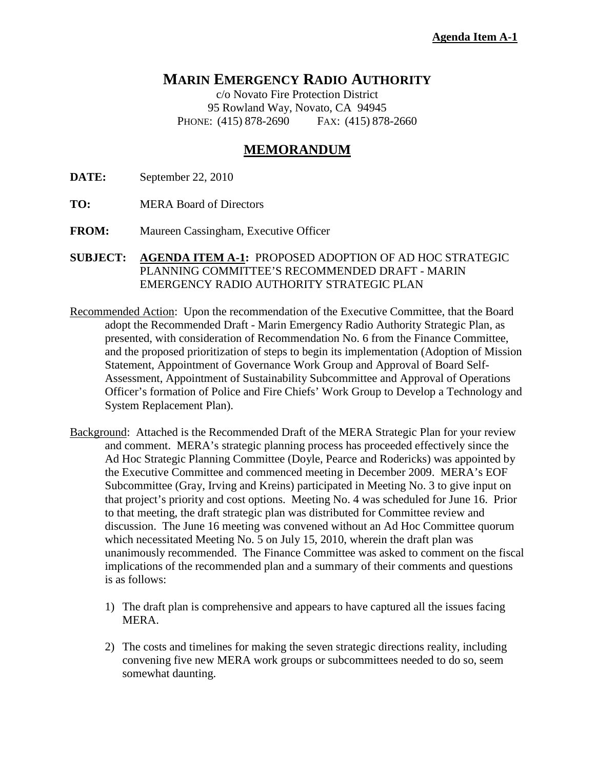## **MARIN EMERGENCY RADIO AUTHORITY**

c/o Novato Fire Protection District 95 Rowland Way, Novato, CA 94945 PHONE: (415) 878-2690 FAX: (415) 878-2660

## **MEMORANDUM**

**DATE:** September 22, 2010

- **TO:** MERA Board of Directors
- **FROM:** Maureen Cassingham, Executive Officer
- **SUBJECT: AGENDA ITEM A-1:** PROPOSED ADOPTION OF AD HOC STRATEGIC PLANNING COMMITTEE'S RECOMMENDED DRAFT - MARIN EMERGENCY RADIO AUTHORITY STRATEGIC PLAN
- Recommended Action: Upon the recommendation of the Executive Committee, that the Board adopt the Recommended Draft - Marin Emergency Radio Authority Strategic Plan, as presented, with consideration of Recommendation No. 6 from the Finance Committee, and the proposed prioritization of steps to begin its implementation (Adoption of Mission Statement, Appointment of Governance Work Group and Approval of Board Self-Assessment, Appointment of Sustainability Subcommittee and Approval of Operations Officer's formation of Police and Fire Chiefs' Work Group to Develop a Technology and System Replacement Plan).
- Background: Attached is the Recommended Draft of the MERA Strategic Plan for your review and comment. MERA's strategic planning process has proceeded effectively since the Ad Hoc Strategic Planning Committee (Doyle, Pearce and Rodericks) was appointed by the Executive Committee and commenced meeting in December 2009. MERA's EOF Subcommittee (Gray, Irving and Kreins) participated in Meeting No. 3 to give input on that project's priority and cost options. Meeting No. 4 was scheduled for June 16. Prior to that meeting, the draft strategic plan was distributed for Committee review and discussion. The June 16 meeting was convened without an Ad Hoc Committee quorum which necessitated Meeting No. 5 on July 15, 2010, wherein the draft plan was unanimously recommended. The Finance Committee was asked to comment on the fiscal implications of the recommended plan and a summary of their comments and questions is as follows:
	- 1) The draft plan is comprehensive and appears to have captured all the issues facing MERA.
	- 2) The costs and timelines for making the seven strategic directions reality, including convening five new MERA work groups or subcommittees needed to do so, seem somewhat daunting.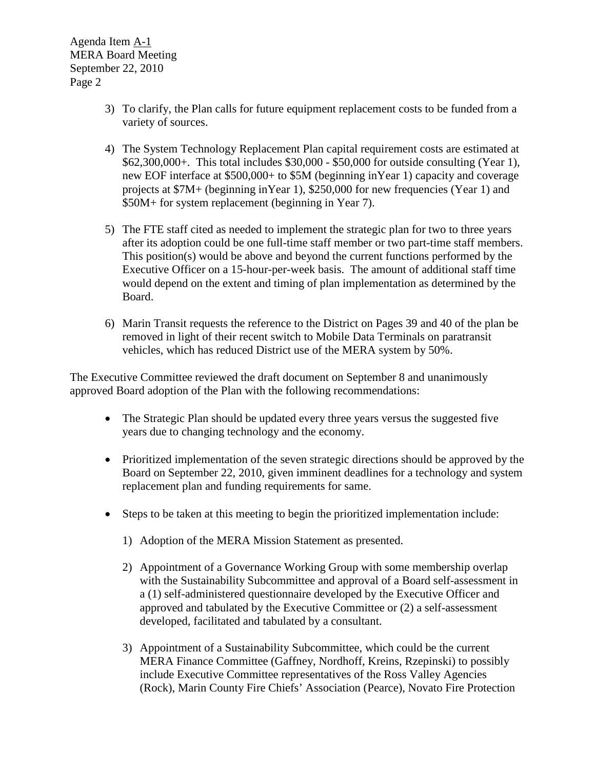Agenda Item A-1 MERA Board Meeting September 22, 2010 Page 2

- 3) To clarify, the Plan calls for future equipment replacement costs to be funded from a variety of sources.
- 4) The System Technology Replacement Plan capital requirement costs are estimated at \$62,300,000+. This total includes \$30,000 - \$50,000 for outside consulting (Year 1), new EOF interface at \$500,000+ to \$5M (beginning inYear 1) capacity and coverage projects at \$7M+ (beginning inYear 1), \$250,000 for new frequencies (Year 1) and \$50M+ for system replacement (beginning in Year 7).
- 5) The FTE staff cited as needed to implement the strategic plan for two to three years after its adoption could be one full-time staff member or two part-time staff members. This position(s) would be above and beyond the current functions performed by the Executive Officer on a 15-hour-per-week basis. The amount of additional staff time would depend on the extent and timing of plan implementation as determined by the Board.
- 6) Marin Transit requests the reference to the District on Pages 39 and 40 of the plan be removed in light of their recent switch to Mobile Data Terminals on paratransit vehicles, which has reduced District use of the MERA system by 50%.

The Executive Committee reviewed the draft document on September 8 and unanimously approved Board adoption of the Plan with the following recommendations:

- The Strategic Plan should be updated every three years versus the suggested five years due to changing technology and the economy.
- Prioritized implementation of the seven strategic directions should be approved by the Board on September 22, 2010, given imminent deadlines for a technology and system replacement plan and funding requirements for same.
- Steps to be taken at this meeting to begin the prioritized implementation include:
	- 1) Adoption of the MERA Mission Statement as presented.
	- 2) Appointment of a Governance Working Group with some membership overlap with the Sustainability Subcommittee and approval of a Board self-assessment in a (1) self-administered questionnaire developed by the Executive Officer and approved and tabulated by the Executive Committee or (2) a self-assessment developed, facilitated and tabulated by a consultant.
	- 3) Appointment of a Sustainability Subcommittee, which could be the current MERA Finance Committee (Gaffney, Nordhoff, Kreins, Rzepinski) to possibly include Executive Committee representatives of the Ross Valley Agencies (Rock), Marin County Fire Chiefs' Association (Pearce), Novato Fire Protection